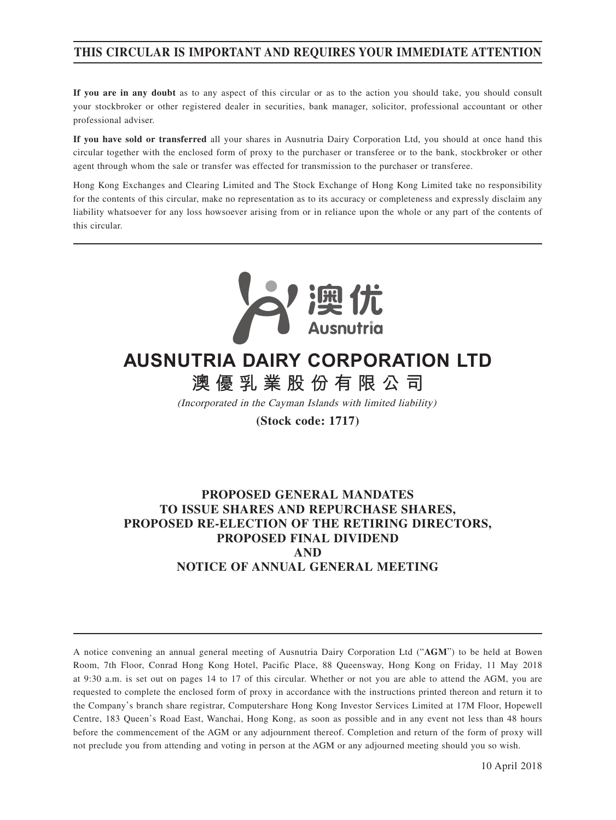## **THIS CIRCULAR IS IMPORTANT AND REQUIRES YOUR IMMEDIATE ATTENTION**

**If you are in any doubt** as to any aspect of this circular or as to the action you should take, you should consult your stockbroker or other registered dealer in securities, bank manager, solicitor, professional accountant or other professional adviser.

**If you have sold or transferred** all your shares in Ausnutria Dairy Corporation Ltd, you should at once hand this circular together with the enclosed form of proxy to the purchaser or transferee or to the bank, stockbroker or other agent through whom the sale or transfer was effected for transmission to the purchaser or transferee.

Hong Kong Exchanges and Clearing Limited and The Stock Exchange of Hong Kong Limited take no responsibility for the contents of this circular, make no representation as to its accuracy or completeness and expressly disclaim any liability whatsoever for any loss howsoever arising from or in reliance upon the whole or any part of the contents of this circular.



# **澳優乳業股份有限公司 AUSNUTRIA DAIRY CORPORATION LTD**

(Incorporated in the Cayman Islands with limited liability)

**(Stock code: 1717)**

## **PROPOSED GENERAL MANDATES TO ISSUE SHARES AND REPURCHASE SHARES, PROPOSED RE-ELECTION OF THE RETIRING DIRECTORS, PROPOSED FINAL DIVIDEND AND NOTICE OF ANNUAL GENERAL MEETING**

A notice convening an annual general meeting of Ausnutria Dairy Corporation Ltd ("**AGM**") to be held at Bowen Room, 7th Floor, Conrad Hong Kong Hotel, Pacific Place, 88 Queensway, Hong Kong on Friday, 11 May 2018 at 9:30 a.m. is set out on pages 14 to 17 of this circular. Whether or not you are able to attend the AGM, you are requested to complete the enclosed form of proxy in accordance with the instructions printed thereon and return it to the Company's branch share registrar, Computershare Hong Kong Investor Services Limited at 17M Floor, Hopewell Centre, 183 Queen's Road East, Wanchai, Hong Kong, as soon as possible and in any event not less than 48 hours before the commencement of the AGM or any adjournment thereof. Completion and return of the form of proxy will not preclude you from attending and voting in person at the AGM or any adjourned meeting should you so wish.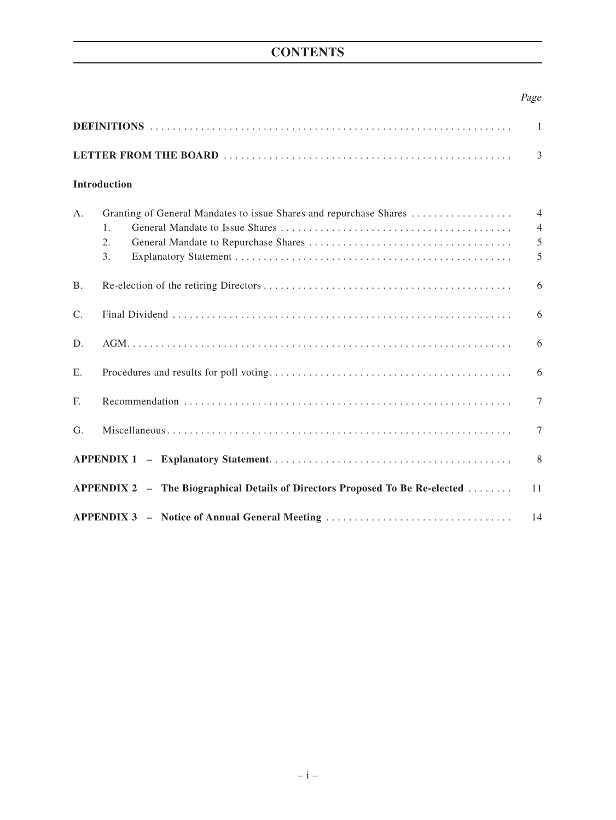## **CONTENTS**

## Page

|                                                                              |                                                                                                  | 3                                          |  |
|------------------------------------------------------------------------------|--------------------------------------------------------------------------------------------------|--------------------------------------------|--|
|                                                                              | Introduction                                                                                     |                                            |  |
| $A$ .                                                                        | Granting of General Mandates to issue Shares and repurchase Shares<br>$\mathbf{1}$ .<br>2.<br>3. | $\overline{4}$<br>$\overline{4}$<br>5<br>5 |  |
| <b>B.</b>                                                                    |                                                                                                  | 6                                          |  |
| $\mathcal{C}$ .                                                              |                                                                                                  | 6                                          |  |
| D.                                                                           |                                                                                                  | 6                                          |  |
| E.                                                                           |                                                                                                  | 6                                          |  |
| F.                                                                           |                                                                                                  | 7                                          |  |
| G <sub>r</sub>                                                               |                                                                                                  | $\tau$                                     |  |
|                                                                              |                                                                                                  |                                            |  |
| APPENDIX 2 - The Biographical Details of Directors Proposed To Be Re-elected |                                                                                                  |                                            |  |
| APPENDIX 3 - Notice of Annual General Meeting                                |                                                                                                  |                                            |  |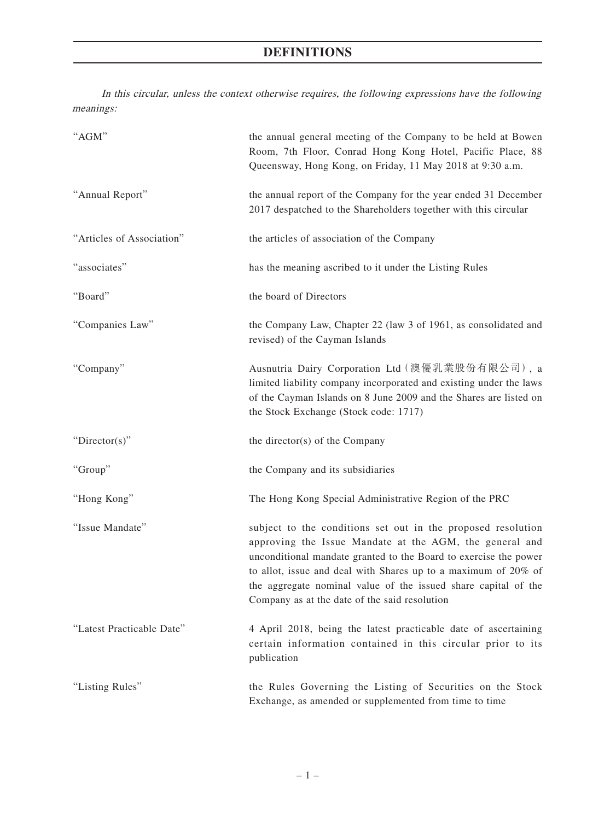## **DEFINITIONS**

In this circular, unless the context otherwise requires, the following expressions have the following meanings:

| "AGM"                     | the annual general meeting of the Company to be held at Bowen<br>Room, 7th Floor, Conrad Hong Kong Hotel, Pacific Place, 88<br>Queensway, Hong Kong, on Friday, 11 May 2018 at 9:30 a.m.                                                                                                                                                                                         |  |  |
|---------------------------|----------------------------------------------------------------------------------------------------------------------------------------------------------------------------------------------------------------------------------------------------------------------------------------------------------------------------------------------------------------------------------|--|--|
| "Annual Report"           | the annual report of the Company for the year ended 31 December<br>2017 despatched to the Shareholders together with this circular                                                                                                                                                                                                                                               |  |  |
| "Articles of Association" | the articles of association of the Company                                                                                                                                                                                                                                                                                                                                       |  |  |
| "associates"              | has the meaning ascribed to it under the Listing Rules                                                                                                                                                                                                                                                                                                                           |  |  |
| "Board"                   | the board of Directors                                                                                                                                                                                                                                                                                                                                                           |  |  |
| "Companies Law"           | the Company Law, Chapter 22 (law 3 of 1961, as consolidated and<br>revised) of the Cayman Islands                                                                                                                                                                                                                                                                                |  |  |
| "Company"                 | Ausnutria Dairy Corporation Ltd (澳優乳業股份有限公司), a<br>limited liability company incorporated and existing under the laws<br>of the Cayman Islands on 8 June 2009 and the Shares are listed on<br>the Stock Exchange (Stock code: 1717)                                                                                                                                              |  |  |
| "Director(s)"             | the director(s) of the Company                                                                                                                                                                                                                                                                                                                                                   |  |  |
| "Group"                   | the Company and its subsidiaries                                                                                                                                                                                                                                                                                                                                                 |  |  |
| "Hong Kong"               | The Hong Kong Special Administrative Region of the PRC                                                                                                                                                                                                                                                                                                                           |  |  |
| "Issue Mandate"           | subject to the conditions set out in the proposed resolution<br>approving the Issue Mandate at the AGM, the general and<br>unconditional mandate granted to the Board to exercise the power<br>to allot, issue and deal with Shares up to a maximum of 20% of<br>the aggregate nominal value of the issued share capital of the<br>Company as at the date of the said resolution |  |  |
| "Latest Practicable Date" | 4 April 2018, being the latest practicable date of ascertaining<br>certain information contained in this circular prior to its<br>publication                                                                                                                                                                                                                                    |  |  |
| "Listing Rules"           | the Rules Governing the Listing of Securities on the Stock<br>Exchange, as amended or supplemented from time to time                                                                                                                                                                                                                                                             |  |  |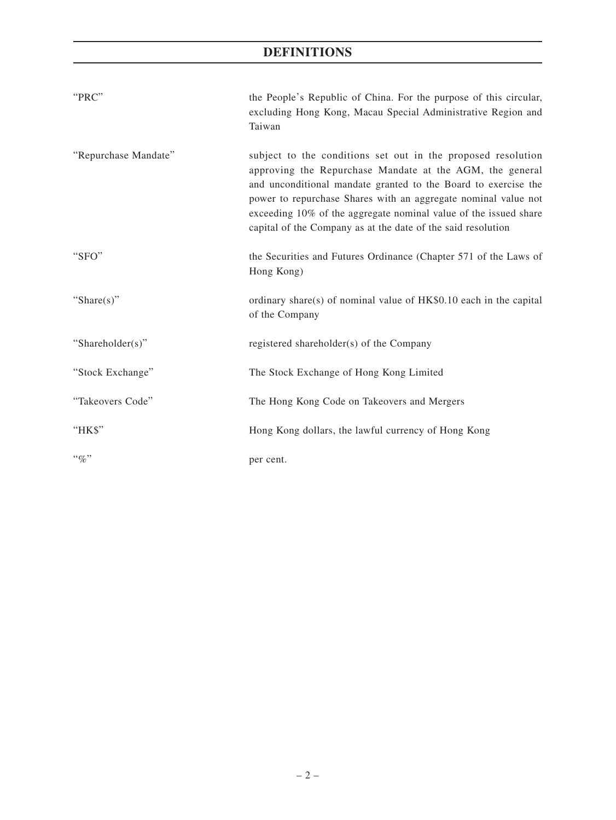## **DEFINITIONS**

| "PRC"                | the People's Republic of China. For the purpose of this circular,<br>excluding Hong Kong, Macau Special Administrative Region and<br>Taiwan                                                                                                                                                                                                                                                      |
|----------------------|--------------------------------------------------------------------------------------------------------------------------------------------------------------------------------------------------------------------------------------------------------------------------------------------------------------------------------------------------------------------------------------------------|
| "Repurchase Mandate" | subject to the conditions set out in the proposed resolution<br>approving the Repurchase Mandate at the AGM, the general<br>and unconditional mandate granted to the Board to exercise the<br>power to repurchase Shares with an aggregate nominal value not<br>exceeding 10% of the aggregate nominal value of the issued share<br>capital of the Company as at the date of the said resolution |
| "SFO"                | the Securities and Futures Ordinance (Chapter 571 of the Laws of<br>Hong Kong)                                                                                                                                                                                                                                                                                                                   |
| "Share $(s)$ "       | ordinary share(s) of nominal value of $HK$0.10$ each in the capital<br>of the Company                                                                                                                                                                                                                                                                                                            |
| "Shareholder(s)"     | registered shareholder(s) of the Company                                                                                                                                                                                                                                                                                                                                                         |
| "Stock Exchange"     | The Stock Exchange of Hong Kong Limited                                                                                                                                                                                                                                                                                                                                                          |
| "Takeovers Code"     | The Hong Kong Code on Takeovers and Mergers                                                                                                                                                                                                                                                                                                                                                      |
| "НК\$"               | Hong Kong dollars, the lawful currency of Hong Kong                                                                                                                                                                                                                                                                                                                                              |
| $``\%"$              | per cent.                                                                                                                                                                                                                                                                                                                                                                                        |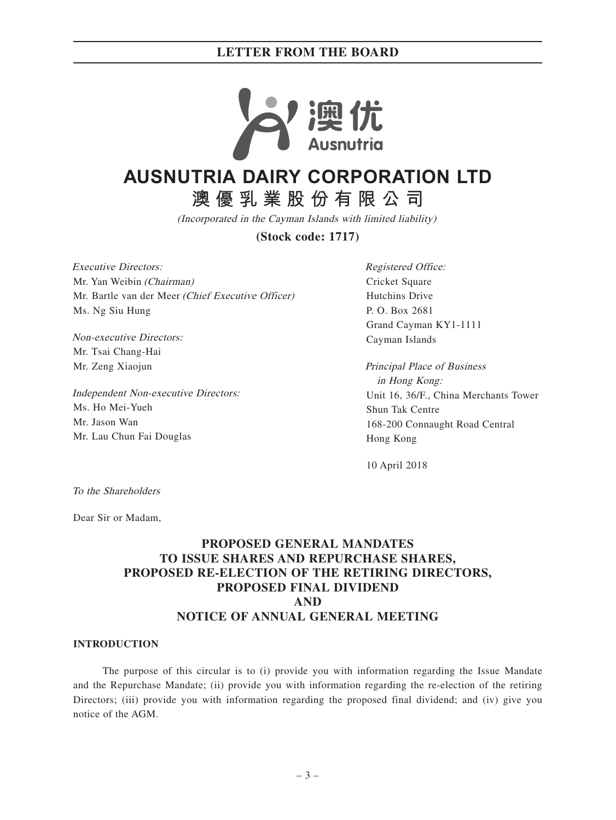

# **AUSNUTRIA DAIRY CORPORATION LTD**

**澳優乳業股份有限公司**

(Incorporated in the Cayman Islands with limited liability)

**(Stock code: 1717)**

Executive Directors: Mr. Yan Weibin (Chairman) Mr. Bartle van der Meer (Chief Executive Officer) Ms. Ng Siu Hung

Non-executive Directors: Mr. Tsai Chang-Hai Mr. Zeng Xiaojun

Independent Non-executive Directors: Ms. Ho Mei-Yueh Mr. Jason Wan Mr. Lau Chun Fai Douglas

Registered Office: Cricket Square Hutchins Drive P. O. Box 2681 Grand Cayman KY1-1111 Cayman Islands

Principal Place of Business in Hong Kong: Unit 16, 36/F., China Merchants Tower Shun Tak Centre 168-200 Connaught Road Central Hong Kong

10 April 2018

To the Shareholders

Dear Sir or Madam,

## **PROPOSED GENERAL MANDATES TO ISSUE SHARES AND REPURCHASE SHARES, PROPOSED RE-ELECTION OF THE RETIRING DIRECTORS, PROPOSED FINAL DIVIDEND AND NOTICE OF ANNUAL GENERAL MEETING**

#### **INTRODUCTION**

The purpose of this circular is to (i) provide you with information regarding the Issue Mandate and the Repurchase Mandate; (ii) provide you with information regarding the re-election of the retiring Directors; (iii) provide you with information regarding the proposed final dividend; and (iv) give you notice of the AGM.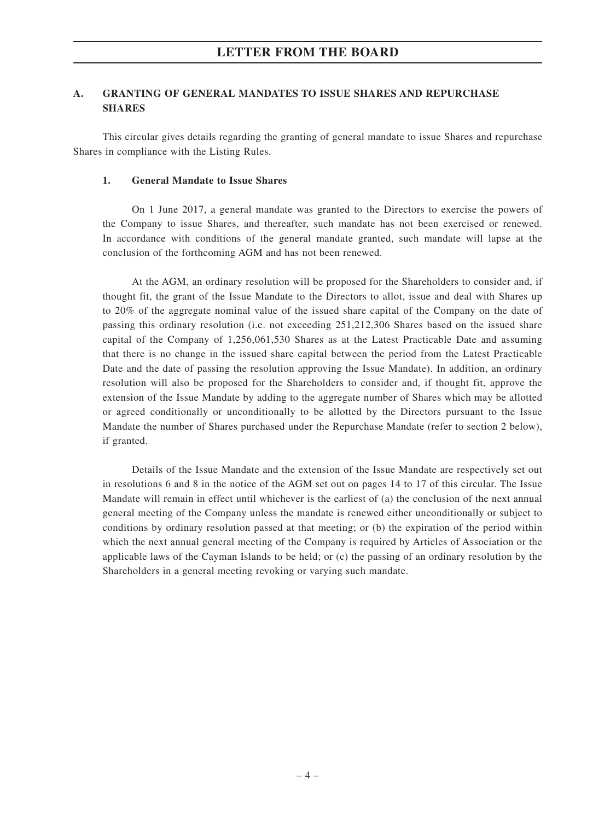### **A. GRANTING OF GENERAL MANDATES TO ISSUE SHARES AND REPURCHASE SHARES**

This circular gives details regarding the granting of general mandate to issue Shares and repurchase Shares in compliance with the Listing Rules.

#### **1. General Mandate to Issue Shares**

On 1 June 2017, a general mandate was granted to the Directors to exercise the powers of the Company to issue Shares, and thereafter, such mandate has not been exercised or renewed. In accordance with conditions of the general mandate granted, such mandate will lapse at the conclusion of the forthcoming AGM and has not been renewed.

At the AGM, an ordinary resolution will be proposed for the Shareholders to consider and, if thought fit, the grant of the Issue Mandate to the Directors to allot, issue and deal with Shares up to 20% of the aggregate nominal value of the issued share capital of the Company on the date of passing this ordinary resolution (i.e. not exceeding 251,212,306 Shares based on the issued share capital of the Company of 1,256,061,530 Shares as at the Latest Practicable Date and assuming that there is no change in the issued share capital between the period from the Latest Practicable Date and the date of passing the resolution approving the Issue Mandate). In addition, an ordinary resolution will also be proposed for the Shareholders to consider and, if thought fit, approve the extension of the Issue Mandate by adding to the aggregate number of Shares which may be allotted or agreed conditionally or unconditionally to be allotted by the Directors pursuant to the Issue Mandate the number of Shares purchased under the Repurchase Mandate (refer to section 2 below), if granted.

Details of the Issue Mandate and the extension of the Issue Mandate are respectively set out in resolutions 6 and 8 in the notice of the AGM set out on pages 14 to 17 of this circular. The Issue Mandate will remain in effect until whichever is the earliest of (a) the conclusion of the next annual general meeting of the Company unless the mandate is renewed either unconditionally or subject to conditions by ordinary resolution passed at that meeting; or (b) the expiration of the period within which the next annual general meeting of the Company is required by Articles of Association or the applicable laws of the Cayman Islands to be held; or (c) the passing of an ordinary resolution by the Shareholders in a general meeting revoking or varying such mandate.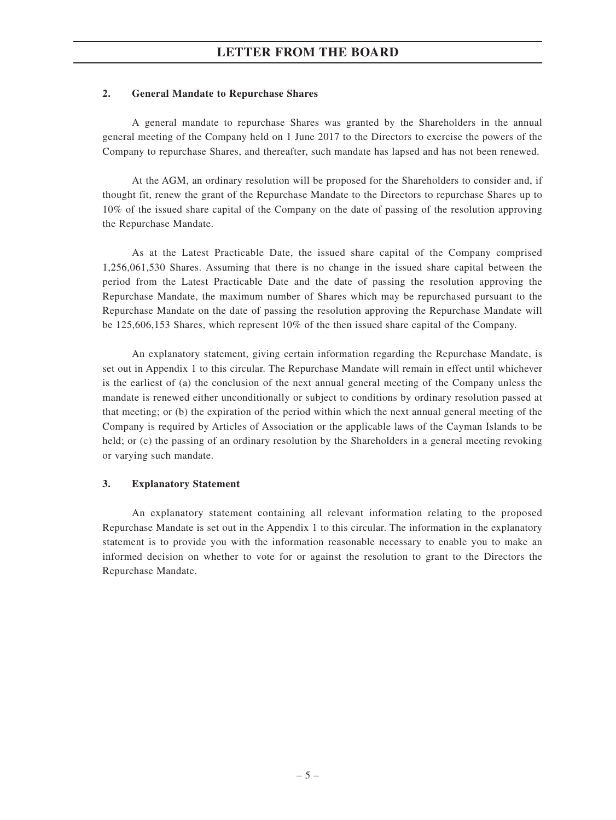#### **2. General Mandate to Repurchase Shares**

A general mandate to repurchase Shares was granted by the Shareholders in the annual general meeting of the Company held on 1 June 2017 to the Directors to exercise the powers of the Company to repurchase Shares, and thereafter, such mandate has lapsed and has not been renewed.

At the AGM, an ordinary resolution will be proposed for the Shareholders to consider and, if thought fit, renew the grant of the Repurchase Mandate to the Directors to repurchase Shares up to 10% of the issued share capital of the Company on the date of passing of the resolution approving the Repurchase Mandate.

As at the Latest Practicable Date, the issued share capital of the Company comprised 1,256,061,530 Shares. Assuming that there is no change in the issued share capital between the period from the Latest Practicable Date and the date of passing the resolution approving the Repurchase Mandate, the maximum number of Shares which may be repurchased pursuant to the Repurchase Mandate on the date of passing the resolution approving the Repurchase Mandate will be 125,606,153 Shares, which represent 10% of the then issued share capital of the Company.

An explanatory statement, giving certain information regarding the Repurchase Mandate, is set out in Appendix 1 to this circular. The Repurchase Mandate will remain in effect until whichever is the earliest of (a) the conclusion of the next annual general meeting of the Company unless the mandate is renewed either unconditionally or subject to conditions by ordinary resolution passed at that meeting; or (b) the expiration of the period within which the next annual general meeting of the Company is required by Articles of Association or the applicable laws of the Cayman Islands to be held; or (c) the passing of an ordinary resolution by the Shareholders in a general meeting revoking or varying such mandate.

#### **3. Explanatory Statement**

An explanatory statement containing all relevant information relating to the proposed Repurchase Mandate is set out in the Appendix 1 to this circular. The information in the explanatory statement is to provide you with the information reasonable necessary to enable you to make an informed decision on whether to vote for or against the resolution to grant to the Directors the Repurchase Mandate.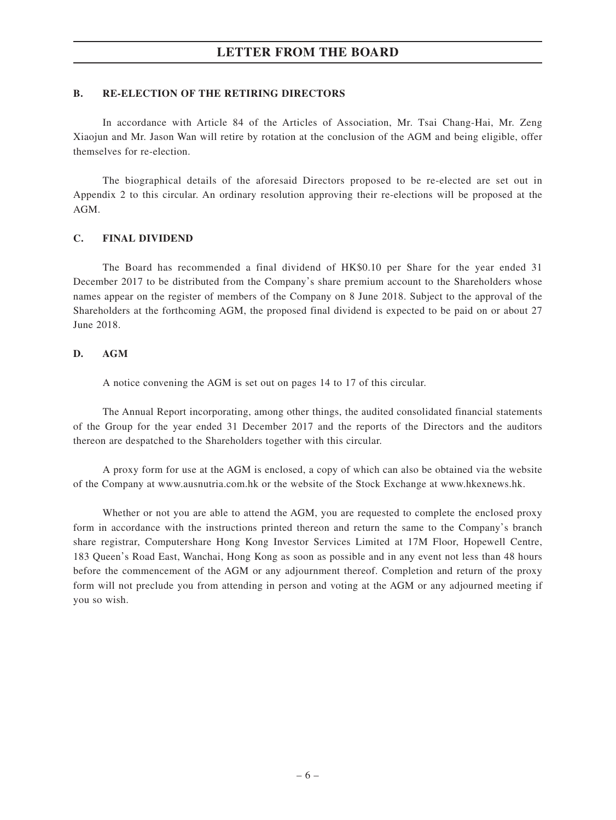#### **B. RE-ELECTION OF THE RETIRING DIRECTORS**

In accordance with Article 84 of the Articles of Association, Mr. Tsai Chang-Hai, Mr. Zeng Xiaojun and Mr. Jason Wan will retire by rotation at the conclusion of the AGM and being eligible, offer themselves for re-election.

The biographical details of the aforesaid Directors proposed to be re-elected are set out in Appendix 2 to this circular. An ordinary resolution approving their re-elections will be proposed at the AGM.

### **C. FINAL DIVIDEND**

The Board has recommended a final dividend of HK\$0.10 per Share for the year ended 31 December 2017 to be distributed from the Company's share premium account to the Shareholders whose names appear on the register of members of the Company on 8 June 2018. Subject to the approval of the Shareholders at the forthcoming AGM, the proposed final dividend is expected to be paid on or about 27 June 2018.

### **D. AGM**

A notice convening the AGM is set out on pages 14 to 17 of this circular.

The Annual Report incorporating, among other things, the audited consolidated financial statements of the Group for the year ended 31 December 2017 and the reports of the Directors and the auditors thereon are despatched to the Shareholders together with this circular.

A proxy form for use at the AGM is enclosed, a copy of which can also be obtained via the website of the Company at www.ausnutria.com.hk or the website of the Stock Exchange at www.hkexnews.hk.

Whether or not you are able to attend the AGM, you are requested to complete the enclosed proxy form in accordance with the instructions printed thereon and return the same to the Company's branch share registrar, Computershare Hong Kong Investor Services Limited at 17M Floor, Hopewell Centre, 183 Queen's Road East, Wanchai, Hong Kong as soon as possible and in any event not less than 48 hours before the commencement of the AGM or any adjournment thereof. Completion and return of the proxy form will not preclude you from attending in person and voting at the AGM or any adjourned meeting if you so wish.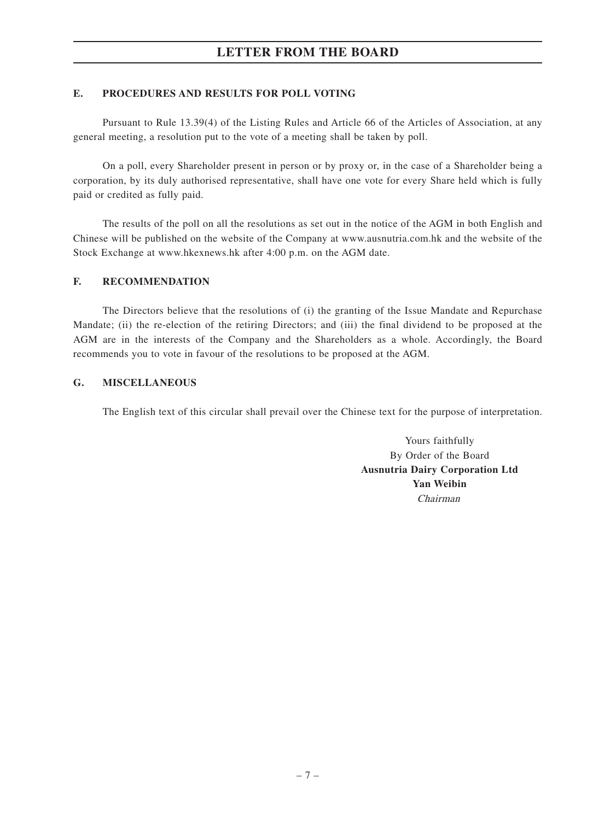### **E. PROCEDURES AND RESULTS FOR POLL VOTING**

Pursuant to Rule 13.39(4) of the Listing Rules and Article 66 of the Articles of Association, at any general meeting, a resolution put to the vote of a meeting shall be taken by poll.

On a poll, every Shareholder present in person or by proxy or, in the case of a Shareholder being a corporation, by its duly authorised representative, shall have one vote for every Share held which is fully paid or credited as fully paid.

The results of the poll on all the resolutions as set out in the notice of the AGM in both English and Chinese will be published on the website of the Company at www.ausnutria.com.hk and the website of the Stock Exchange at www.hkexnews.hk after 4:00 p.m. on the AGM date.

### **F. RECOMMENDATION**

The Directors believe that the resolutions of (i) the granting of the Issue Mandate and Repurchase Mandate; (ii) the re-election of the retiring Directors; and (iii) the final dividend to be proposed at the AGM are in the interests of the Company and the Shareholders as a whole. Accordingly, the Board recommends you to vote in favour of the resolutions to be proposed at the AGM.

### **G. MISCELLANEOUS**

The English text of this circular shall prevail over the Chinese text for the purpose of interpretation.

Yours faithfully By Order of the Board **Ausnutria Dairy Corporation Ltd Yan Weibin** Chairman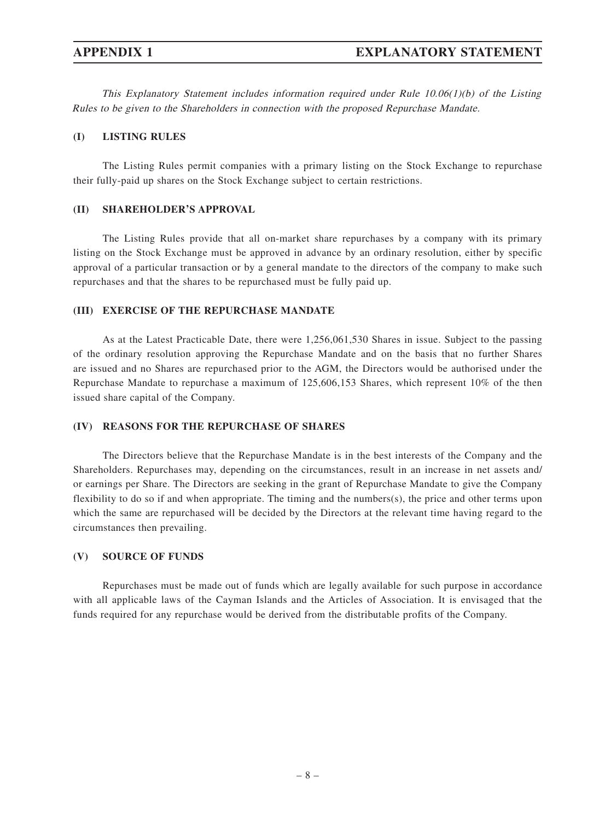This Explanatory Statement includes information required under Rule  $10.06(1)(b)$  of the Listing Rules to be given to the Shareholders in connection with the proposed Repurchase Mandate.

#### **(I) LISTING RULES**

The Listing Rules permit companies with a primary listing on the Stock Exchange to repurchase their fully-paid up shares on the Stock Exchange subject to certain restrictions.

### **(II) SHAREHOLDER'S APPROVAL**

The Listing Rules provide that all on-market share repurchases by a company with its primary listing on the Stock Exchange must be approved in advance by an ordinary resolution, either by specific approval of a particular transaction or by a general mandate to the directors of the company to make such repurchases and that the shares to be repurchased must be fully paid up.

#### **(III) EXERCISE OF THE REPURCHASE MANDATE**

As at the Latest Practicable Date, there were 1,256,061,530 Shares in issue. Subject to the passing of the ordinary resolution approving the Repurchase Mandate and on the basis that no further Shares are issued and no Shares are repurchased prior to the AGM, the Directors would be authorised under the Repurchase Mandate to repurchase a maximum of 125,606,153 Shares, which represent 10% of the then issued share capital of the Company.

#### **(IV) REASONS FOR THE REPURCHASE OF SHARES**

The Directors believe that the Repurchase Mandate is in the best interests of the Company and the Shareholders. Repurchases may, depending on the circumstances, result in an increase in net assets and/ or earnings per Share. The Directors are seeking in the grant of Repurchase Mandate to give the Company flexibility to do so if and when appropriate. The timing and the numbers(s), the price and other terms upon which the same are repurchased will be decided by the Directors at the relevant time having regard to the circumstances then prevailing.

#### **(V) SOURCE OF FUNDS**

Repurchases must be made out of funds which are legally available for such purpose in accordance with all applicable laws of the Cayman Islands and the Articles of Association. It is envisaged that the funds required for any repurchase would be derived from the distributable profits of the Company.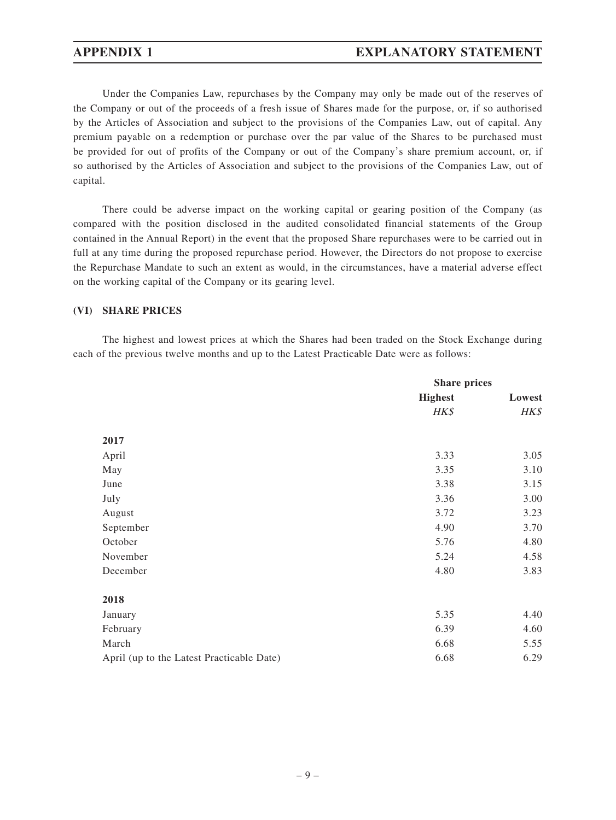## **APPENDIX 1 EXPLANATORY STATEMENT**

Under the Companies Law, repurchases by the Company may only be made out of the reserves of the Company or out of the proceeds of a fresh issue of Shares made for the purpose, or, if so authorised by the Articles of Association and subject to the provisions of the Companies Law, out of capital. Any premium payable on a redemption or purchase over the par value of the Shares to be purchased must be provided for out of profits of the Company or out of the Company's share premium account, or, if so authorised by the Articles of Association and subject to the provisions of the Companies Law, out of capital.

There could be adverse impact on the working capital or gearing position of the Company (as compared with the position disclosed in the audited consolidated financial statements of the Group contained in the Annual Report) in the event that the proposed Share repurchases were to be carried out in full at any time during the proposed repurchase period. However, the Directors do not propose to exercise the Repurchase Mandate to such an extent as would, in the circumstances, have a material adverse effect on the working capital of the Company or its gearing level.

#### **(VI) SHARE PRICES**

The highest and lowest prices at which the Shares had been traded on the Stock Exchange during each of the previous twelve months and up to the Latest Practicable Date were as follows:

|                                           | <b>Share prices</b> |        |
|-------------------------------------------|---------------------|--------|
|                                           | <b>Highest</b>      | Lowest |
|                                           | HK\$                | HK\$   |
|                                           |                     |        |
| 2017                                      |                     |        |
| April                                     | 3.33                | 3.05   |
| May                                       | 3.35                | 3.10   |
| June                                      | 3.38                | 3.15   |
| July                                      | 3.36                | 3.00   |
| August                                    | 3.72                | 3.23   |
| September                                 | 4.90                | 3.70   |
| October                                   | 5.76                | 4.80   |
| November                                  | 5.24                | 4.58   |
| December                                  | 4.80                | 3.83   |
| 2018                                      |                     |        |
| January                                   | 5.35                | 4.40   |
| February                                  | 6.39                | 4.60   |
| March                                     | 6.68                | 5.55   |
| April (up to the Latest Practicable Date) | 6.68                | 6.29   |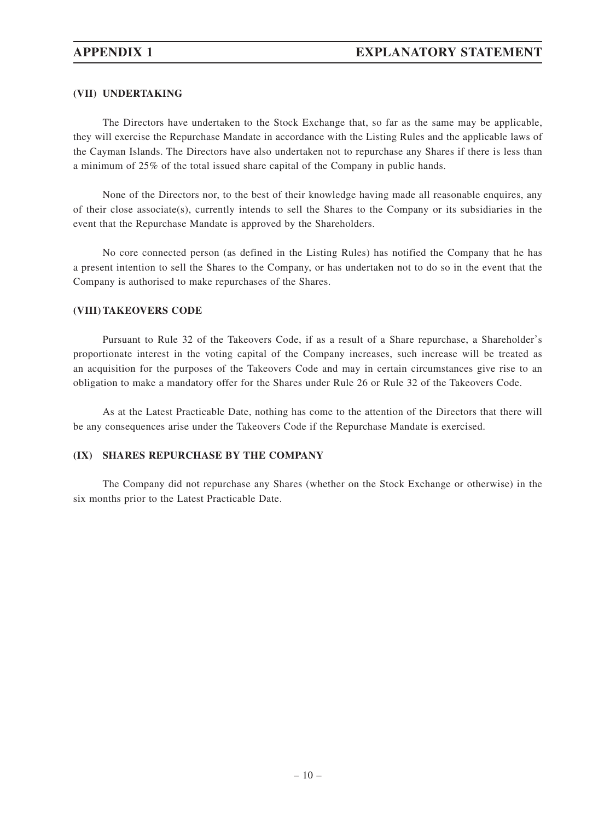#### **(VII) UNDERTAKING**

The Directors have undertaken to the Stock Exchange that, so far as the same may be applicable, they will exercise the Repurchase Mandate in accordance with the Listing Rules and the applicable laws of the Cayman Islands. The Directors have also undertaken not to repurchase any Shares if there is less than a minimum of 25% of the total issued share capital of the Company in public hands.

None of the Directors nor, to the best of their knowledge having made all reasonable enquires, any of their close associate(s), currently intends to sell the Shares to the Company or its subsidiaries in the event that the Repurchase Mandate is approved by the Shareholders.

No core connected person (as defined in the Listing Rules) has notified the Company that he has a present intention to sell the Shares to the Company, or has undertaken not to do so in the event that the Company is authorised to make repurchases of the Shares.

#### **(VIII) TAKEOVERS CODE**

Pursuant to Rule 32 of the Takeovers Code, if as a result of a Share repurchase, a Shareholder's proportionate interest in the voting capital of the Company increases, such increase will be treated as an acquisition for the purposes of the Takeovers Code and may in certain circumstances give rise to an obligation to make a mandatory offer for the Shares under Rule 26 or Rule 32 of the Takeovers Code.

As at the Latest Practicable Date, nothing has come to the attention of the Directors that there will be any consequences arise under the Takeovers Code if the Repurchase Mandate is exercised.

#### **(IX) SHARES REPURCHASE BY THE COMPANY**

The Company did not repurchase any Shares (whether on the Stock Exchange or otherwise) in the six months prior to the Latest Practicable Date.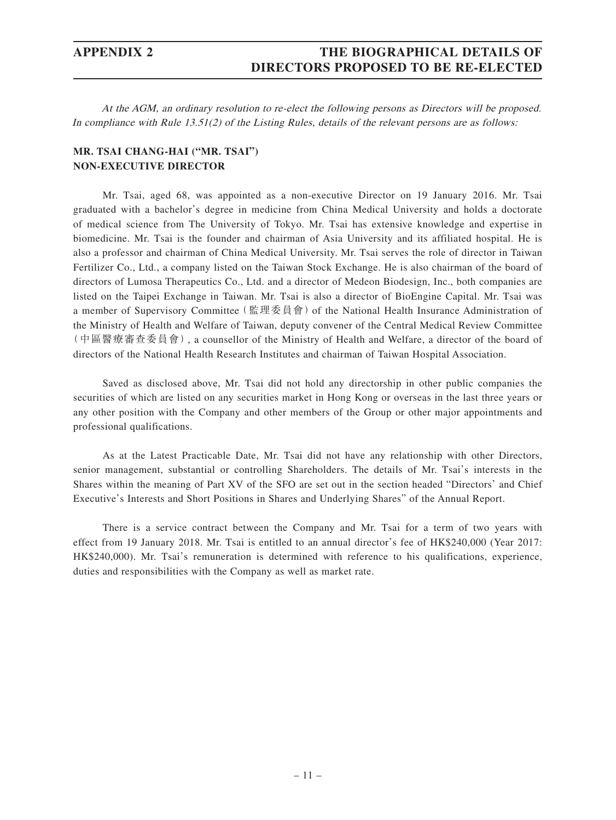## **APPENDIX 2 THE BIOGRAPHICAL DETAILS OF DIRECTORS PROPOSED TO BE RE-ELECTED**

At the AGM, an ordinary resolution to re-elect the following persons as Directors will be proposed. In compliance with Rule 13.51(2) of the Listing Rules, details of the relevant persons are as follows:

### **MR. TSAI CHANG-HAI ("MR. TSAI") NON-EXECUTIVE DIRECTOR**

Mr. Tsai, aged 68, was appointed as a non-executive Director on 19 January 2016. Mr. Tsai graduated with a bachelor's degree in medicine from China Medical University and holds a doctorate of medical science from The University of Tokyo. Mr. Tsai has extensive knowledge and expertise in biomedicine. Mr. Tsai is the founder and chairman of Asia University and its affiliated hospital. He is also a professor and chairman of China Medical University. Mr. Tsai serves the role of director in Taiwan Fertilizer Co., Ltd., a company listed on the Taiwan Stock Exchange. He is also chairman of the board of directors of Lumosa Therapeutics Co., Ltd. and a director of Medeon Biodesign, Inc., both companies are listed on the Taipei Exchange in Taiwan. Mr. Tsai is also a director of BioEngine Capital. Mr. Tsai was a member of Supervisory Committee (監理委員會) of the National Health Insurance Administration of the Ministry of Health and Welfare of Taiwan, deputy convener of the Central Medical Review Committee (中區醫療審查委員會), a counsellor of the Ministry of Health and Welfare, a director of the board of directors of the National Health Research Institutes and chairman of Taiwan Hospital Association.

Saved as disclosed above, Mr. Tsai did not hold any directorship in other public companies the securities of which are listed on any securities market in Hong Kong or overseas in the last three years or any other position with the Company and other members of the Group or other major appointments and professional qualifications.

As at the Latest Practicable Date, Mr. Tsai did not have any relationship with other Directors, senior management, substantial or controlling Shareholders. The details of Mr. Tsai's interests in the Shares within the meaning of Part XV of the SFO are set out in the section headed "Directors' and Chief Executive's Interests and Short Positions in Shares and Underlying Shares" of the Annual Report.

There is a service contract between the Company and Mr. Tsai for a term of two years with effect from 19 January 2018. Mr. Tsai is entitled to an annual director's fee of HK\$240,000 (Year 2017: HK\$240,000). Mr. Tsai's remuneration is determined with reference to his qualifications, experience, duties and responsibilities with the Company as well as market rate.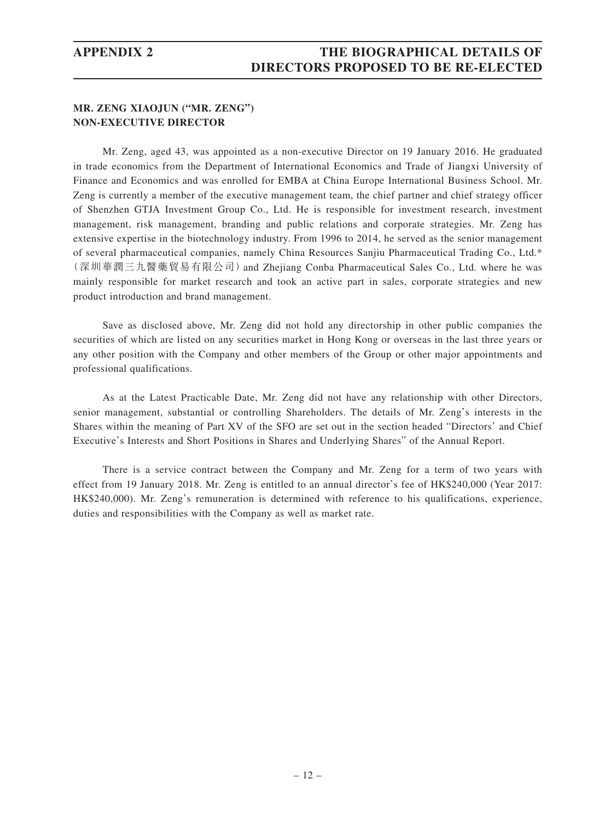### **MR. ZENG XIAOJUN ("MR. ZENG") NON-EXECUTIVE DIRECTOR**

Mr. Zeng, aged 43, was appointed as a non-executive Director on 19 January 2016. He graduated in trade economics from the Department of International Economics and Trade of Jiangxi University of Finance and Economics and was enrolled for EMBA at China Europe International Business School. Mr. Zeng is currently a member of the executive management team, the chief partner and chief strategy officer of Shenzhen GTJA Investment Group Co., Ltd. He is responsible for investment research, investment management, risk management, branding and public relations and corporate strategies. Mr. Zeng has extensive expertise in the biotechnology industry. From 1996 to 2014, he served as the senior management of several pharmaceutical companies, namely China Resources Sanjiu Pharmaceutical Trading Co., Ltd.\* (深圳華潤三九醫藥貿易有限公司)and Zhejiang Conba Pharmaceutical Sales Co., Ltd. where he was mainly responsible for market research and took an active part in sales, corporate strategies and new product introduction and brand management.

Save as disclosed above, Mr. Zeng did not hold any directorship in other public companies the securities of which are listed on any securities market in Hong Kong or overseas in the last three years or any other position with the Company and other members of the Group or other major appointments and professional qualifications.

As at the Latest Practicable Date, Mr. Zeng did not have any relationship with other Directors, senior management, substantial or controlling Shareholders. The details of Mr. Zeng's interests in the Shares within the meaning of Part XV of the SFO are set out in the section headed "Directors' and Chief Executive's Interests and Short Positions in Shares and Underlying Shares" of the Annual Report.

There is a service contract between the Company and Mr. Zeng for a term of two years with effect from 19 January 2018. Mr. Zeng is entitled to an annual director's fee of HK\$240,000 (Year 2017: HK\$240,000). Mr. Zeng's remuneration is determined with reference to his qualifications, experience, duties and responsibilities with the Company as well as market rate.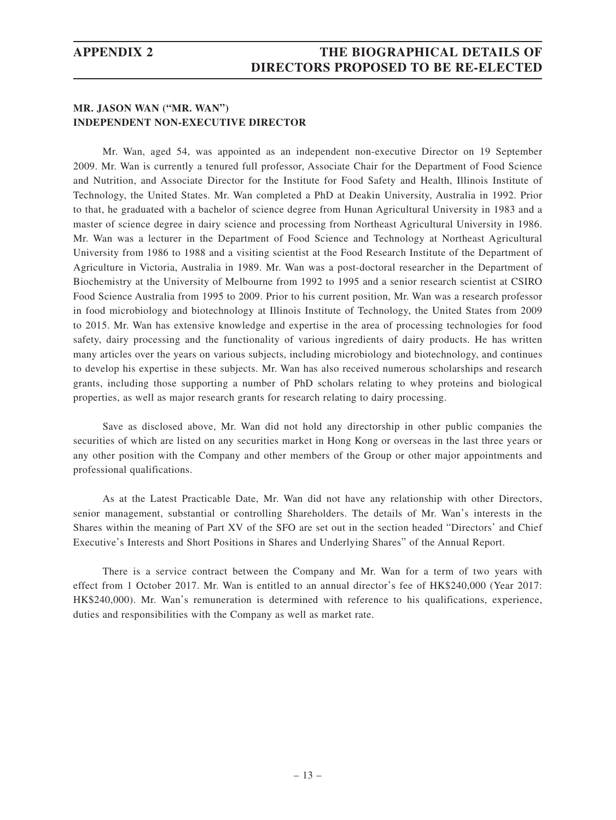## **APPENDIX 2 THE BIOGRAPHICAL DETAILS OF DIRECTORS PROPOSED TO BE RE-ELECTED**

### **MR. JASON WAN ("MR. WAN") INDEPENDENT NON-EXECUTIVE DIRECTOR**

Mr. Wan, aged 54, was appointed as an independent non-executive Director on 19 September 2009. Mr. Wan is currently a tenured full professor, Associate Chair for the Department of Food Science and Nutrition, and Associate Director for the Institute for Food Safety and Health, Illinois Institute of Technology, the United States. Mr. Wan completed a PhD at Deakin University, Australia in 1992. Prior to that, he graduated with a bachelor of science degree from Hunan Agricultural University in 1983 and a master of science degree in dairy science and processing from Northeast Agricultural University in 1986. Mr. Wan was a lecturer in the Department of Food Science and Technology at Northeast Agricultural University from 1986 to 1988 and a visiting scientist at the Food Research Institute of the Department of Agriculture in Victoria, Australia in 1989. Mr. Wan was a post-doctoral researcher in the Department of Biochemistry at the University of Melbourne from 1992 to 1995 and a senior research scientist at CSIRO Food Science Australia from 1995 to 2009. Prior to his current position, Mr. Wan was a research professor in food microbiology and biotechnology at Illinois Institute of Technology, the United States from 2009 to 2015. Mr. Wan has extensive knowledge and expertise in the area of processing technologies for food safety, dairy processing and the functionality of various ingredients of dairy products. He has written many articles over the years on various subjects, including microbiology and biotechnology, and continues to develop his expertise in these subjects. Mr. Wan has also received numerous scholarships and research grants, including those supporting a number of PhD scholars relating to whey proteins and biological properties, as well as major research grants for research relating to dairy processing.

Save as disclosed above, Mr. Wan did not hold any directorship in other public companies the securities of which are listed on any securities market in Hong Kong or overseas in the last three years or any other position with the Company and other members of the Group or other major appointments and professional qualifications.

As at the Latest Practicable Date, Mr. Wan did not have any relationship with other Directors, senior management, substantial or controlling Shareholders. The details of Mr. Wan's interests in the Shares within the meaning of Part XV of the SFO are set out in the section headed "Directors' and Chief Executive's Interests and Short Positions in Shares and Underlying Shares" of the Annual Report.

There is a service contract between the Company and Mr. Wan for a term of two years with effect from 1 October 2017. Mr. Wan is entitled to an annual director's fee of HK\$240,000 (Year 2017: HK\$240,000). Mr. Wan's remuneration is determined with reference to his qualifications, experience, duties and responsibilities with the Company as well as market rate.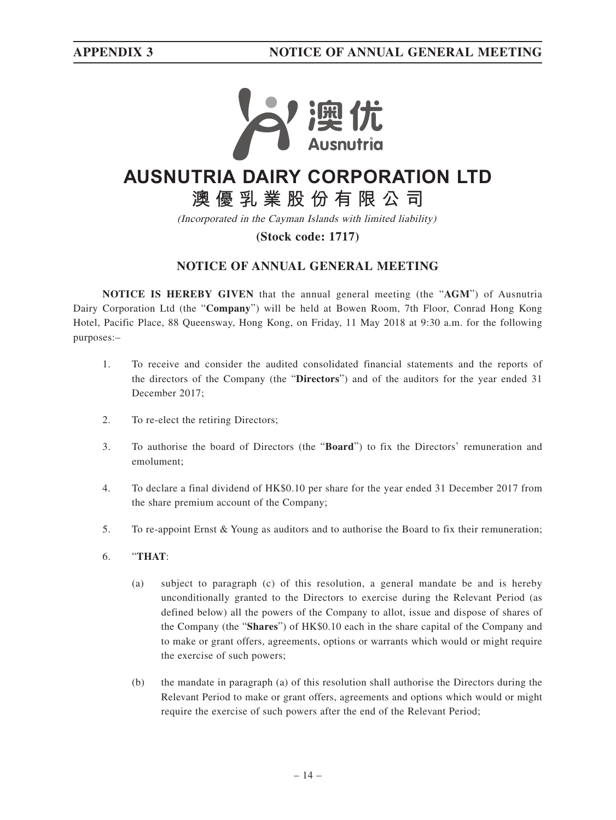

# **AUSNUTRIA DAIRY CORPORATION LTD**

**澳優乳業股份有限公司**

(Incorporated in the Cayman Islands with limited liability)

### **(Stock code: 1717)**

## **NOTICE OF ANNUAL GENERAL MEETING**

**NOTICE IS HEREBY GIVEN** that the annual general meeting (the "**AGM**") of Ausnutria Dairy Corporation Ltd (the "**Company**") will be held at Bowen Room, 7th Floor, Conrad Hong Kong Hotel, Pacific Place, 88 Queensway, Hong Kong, on Friday, 11 May 2018 at 9:30 a.m. for the following purposes:–

- 1. To receive and consider the audited consolidated financial statements and the reports of the directors of the Company (the "**Directors**") and of the auditors for the year ended 31 December 2017;
- 2. To re-elect the retiring Directors;
- 3. To authorise the board of Directors (the "**Board**") to fix the Directors' remuneration and emolument;
- 4. To declare a final dividend of HK\$0.10 per share for the year ended 31 December 2017 from the share premium account of the Company;
- 5. To re-appoint Ernst & Young as auditors and to authorise the Board to fix their remuneration;
- 6. "**THAT**:
	- (a) subject to paragraph (c) of this resolution, a general mandate be and is hereby unconditionally granted to the Directors to exercise during the Relevant Period (as defined below) all the powers of the Company to allot, issue and dispose of shares of the Company (the "**Shares**") of HK\$0.10 each in the share capital of the Company and to make or grant offers, agreements, options or warrants which would or might require the exercise of such powers;
	- (b) the mandate in paragraph (a) of this resolution shall authorise the Directors during the Relevant Period to make or grant offers, agreements and options which would or might require the exercise of such powers after the end of the Relevant Period;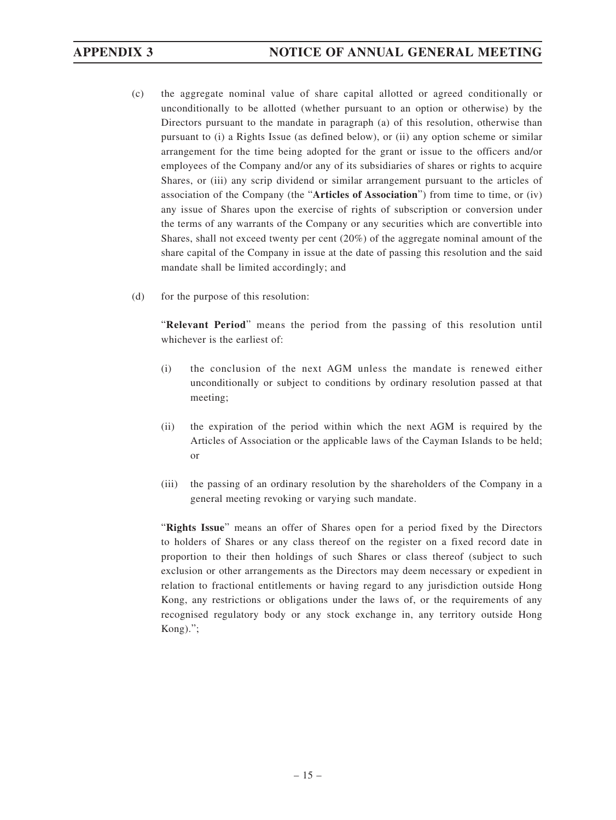- (c) the aggregate nominal value of share capital allotted or agreed conditionally or unconditionally to be allotted (whether pursuant to an option or otherwise) by the Directors pursuant to the mandate in paragraph (a) of this resolution, otherwise than pursuant to (i) a Rights Issue (as defined below), or (ii) any option scheme or similar arrangement for the time being adopted for the grant or issue to the officers and/or employees of the Company and/or any of its subsidiaries of shares or rights to acquire Shares, or (iii) any scrip dividend or similar arrangement pursuant to the articles of association of the Company (the "**Articles of Association**") from time to time, or (iv) any issue of Shares upon the exercise of rights of subscription or conversion under the terms of any warrants of the Company or any securities which are convertible into Shares, shall not exceed twenty per cent (20%) of the aggregate nominal amount of the share capital of the Company in issue at the date of passing this resolution and the said mandate shall be limited accordingly; and
- (d) for the purpose of this resolution:

"**Relevant Period**" means the period from the passing of this resolution until whichever is the earliest of:

- (i) the conclusion of the next AGM unless the mandate is renewed either unconditionally or subject to conditions by ordinary resolution passed at that meeting;
- (ii) the expiration of the period within which the next AGM is required by the Articles of Association or the applicable laws of the Cayman Islands to be held; or
- (iii) the passing of an ordinary resolution by the shareholders of the Company in a general meeting revoking or varying such mandate.

"**Rights Issue**" means an offer of Shares open for a period fixed by the Directors to holders of Shares or any class thereof on the register on a fixed record date in proportion to their then holdings of such Shares or class thereof (subject to such exclusion or other arrangements as the Directors may deem necessary or expedient in relation to fractional entitlements or having regard to any jurisdiction outside Hong Kong, any restrictions or obligations under the laws of, or the requirements of any recognised regulatory body or any stock exchange in, any territory outside Hong Kong).";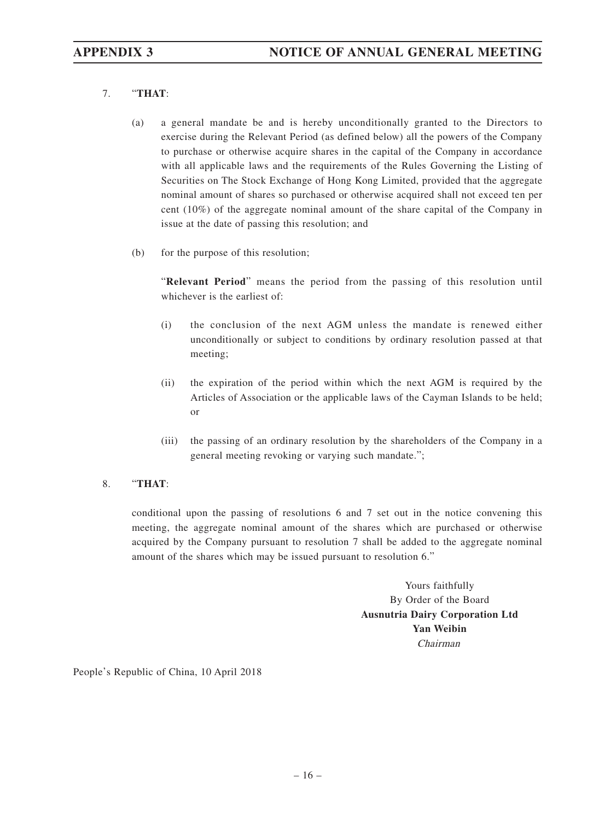### 7. "**THAT**:

- (a) a general mandate be and is hereby unconditionally granted to the Directors to exercise during the Relevant Period (as defined below) all the powers of the Company to purchase or otherwise acquire shares in the capital of the Company in accordance with all applicable laws and the requirements of the Rules Governing the Listing of Securities on The Stock Exchange of Hong Kong Limited, provided that the aggregate nominal amount of shares so purchased or otherwise acquired shall not exceed ten per cent (10%) of the aggregate nominal amount of the share capital of the Company in issue at the date of passing this resolution; and
- (b) for the purpose of this resolution;

"**Relevant Period**" means the period from the passing of this resolution until whichever is the earliest of:

- (i) the conclusion of the next AGM unless the mandate is renewed either unconditionally or subject to conditions by ordinary resolution passed at that meeting;
- (ii) the expiration of the period within which the next AGM is required by the Articles of Association or the applicable laws of the Cayman Islands to be held; or
- (iii) the passing of an ordinary resolution by the shareholders of the Company in a general meeting revoking or varying such mandate.";

#### 8. "**THAT**:

conditional upon the passing of resolutions 6 and 7 set out in the notice convening this meeting, the aggregate nominal amount of the shares which are purchased or otherwise acquired by the Company pursuant to resolution 7 shall be added to the aggregate nominal amount of the shares which may be issued pursuant to resolution 6."

> Yours faithfully By Order of the Board **Ausnutria Dairy Corporation Ltd Yan Weibin** Chairman

People's Republic of China, 10 April 2018